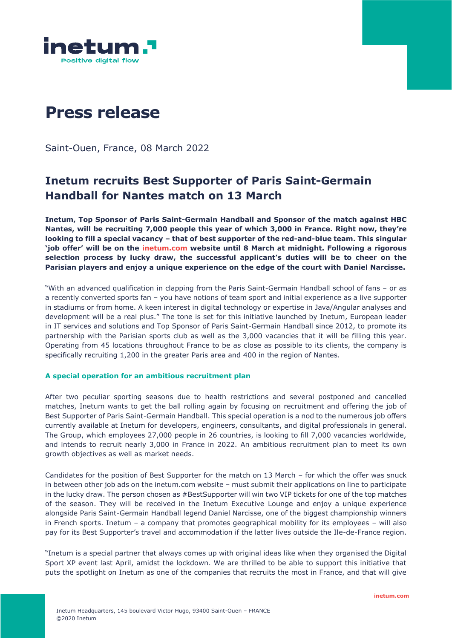

# **Press release**

Saint-Ouen, France, 08 March 2022

# **Inetum recruits Best Supporter of Paris Saint-Germain Handball for Nantes match on 13 March**

**Inetum, Top Sponsor of Paris Saint-Germain Handball and Sponsor of the match against HBC Nantes, will be recruiting 7,000 people this year of which 3,000 in France. Right now, they're looking to fill a special vacancy – that of best supporter of the red-and-blue team. This singular 'job offer' will be on the inetum.com website until 8 March at midnight. Following a rigorous selection process by lucky draw, the successful applicant's duties will be to cheer on the Parisian players and enjoy a unique experience on the edge of the court with Daniel Narcisse.**

"With an advanced qualification in clapping from the Paris Saint-Germain Handball school of fans – or as a recently converted sports fan – you have notions of team sport and initial experience as a live supporter in stadiums or from home. A keen interest in digital technology or expertise in Java/Angular analyses and development will be a real plus." The tone is set for this initiative launched by Inetum, European leader in IT services and solutions and Top Sponsor of Paris Saint-Germain Handball since 2012, to promote its partnership with the Parisian sports club as well as the 3,000 vacancies that it will be filling this year. Operating from 45 locations throughout France to be as close as possible to its clients, the company is specifically recruiting 1,200 in the greater Paris area and 400 in the region of Nantes.

### **A special operation for an ambitious recruitment plan**

After two peculiar sporting seasons due to health restrictions and several postponed and cancelled matches, Inetum wants to get the ball rolling again by focusing on recruitment and offering the job of Best Supporter of Paris Saint-Germain Handball. This special operation is a nod to the numerous job offers currently available at Inetum for developers, engineers, consultants, and digital professionals in general. The Group, which employees 27,000 people in 26 countries, is looking to fill 7,000 vacancies worldwide, and intends to recruit nearly 3,000 in France in 2022. An ambitious recruitment plan to meet its own growth objectives as well as market needs.

Candidates for the position of Best Supporter for the match on 13 March – for which the offer was snuck in between other job ads on the inetum.com website – must submit their applications on line to participate in the lucky draw. The person chosen as #BestSupporter will win two VIP tickets for one of the top matches of the season. They will be received in the Inetum Executive Lounge and enjoy a unique experience alongside Paris Saint-Germain Handball legend Daniel Narcisse, one of the biggest championship winners in French sports. Inetum – a company that promotes geographical mobility for its employees – will also pay for its Best Supporter's travel and accommodation if the latter lives outside the Ile-de-France region.

"Inetum is a special partner that always comes up with original ideas like when they organised the Digital Sport XP event last April, amidst the lockdown. We are thrilled to be able to support this initiative that puts the spotlight on Inetum as one of the companies that recruits the most in France, and that will give